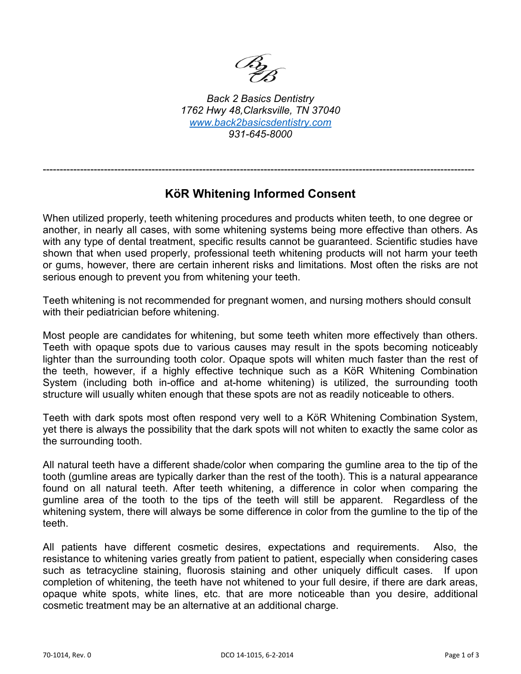

*Back 2 Basics Dentistry 1762 Hwy 48,Clarksville, TN 37040 [www.back2basicsdentistry.com](http://www.back2basicsdentistry.com/) 931-645-8000*

## **KöR Whitening Informed Consent**

-------------------------------------------------------------------------------------------------------------------------------

When utilized properly, teeth whitening procedures and products whiten teeth, to one degree or another, in nearly all cases, with some whitening systems being more effective than others. As with any type of dental treatment, specific results cannot be guaranteed. Scientific studies have shown that when used properly, professional teeth whitening products will not harm your teeth or gums, however, there are certain inherent risks and limitations. Most often the risks are not serious enough to prevent you from whitening your teeth.

Teeth whitening is not recommended for pregnant women, and nursing mothers should consult with their pediatrician before whitening.

Most people are candidates for whitening, but some teeth whiten more effectively than others. Teeth with opaque spots due to various causes may result in the spots becoming noticeably lighter than the surrounding tooth color. Opaque spots will whiten much faster than the rest of the teeth, however, if a highly effective technique such as a KöR Whitening Combination System (including both in-office and at-home whitening) is utilized, the surrounding tooth structure will usually whiten enough that these spots are not as readily noticeable to others.

Teeth with dark spots most often respond very well to a KöR Whitening Combination System, yet there is always the possibility that the dark spots will not whiten to exactly the same color as the surrounding tooth.

All natural teeth have a different shade/color when comparing the gumline area to the tip of the tooth (gumline areas are typically darker than the rest of the tooth). This is a natural appearance found on all natural teeth. After teeth whitening, a difference in color when comparing the gumline area of the tooth to the tips of the teeth will still be apparent. Regardless of the whitening system, there will always be some difference in color from the gumline to the tip of the teeth.

All patients have different cosmetic desires, expectations and requirements. Also, the resistance to whitening varies greatly from patient to patient, especially when considering cases such as tetracycline staining, fluorosis staining and other uniquely difficult cases. If upon completion of whitening, the teeth have not whitened to your full desire, if there are dark areas, opaque white spots, white lines, etc. that are more noticeable than you desire, additional cosmetic treatment may be an alternative at an additional charge.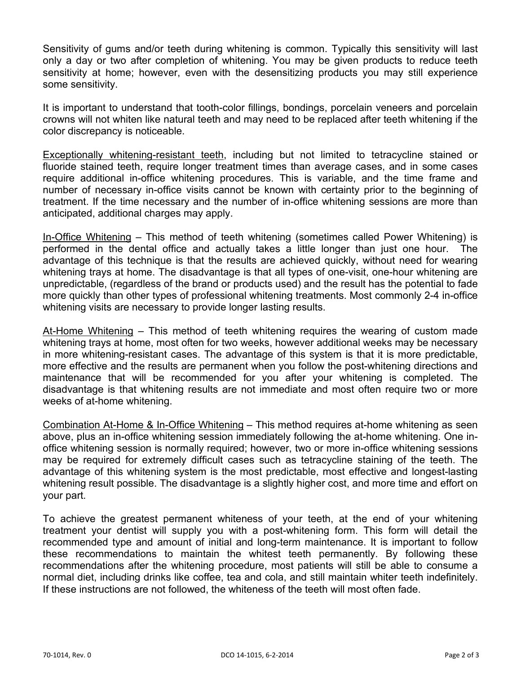Sensitivity of gums and/or teeth during whitening is common. Typically this sensitivity will last only a day or two after completion of whitening. You may be given products to reduce teeth sensitivity at home; however, even with the desensitizing products you may still experience some sensitivity.

It is important to understand that tooth-color fillings, bondings, porcelain veneers and porcelain crowns will not whiten like natural teeth and may need to be replaced after teeth whitening if the color discrepancy is noticeable.

Exceptionally whitening-resistant teeth, including but not limited to tetracycline stained or fluoride stained teeth, require longer treatment times than average cases, and in some cases require additional in-office whitening procedures. This is variable, and the time frame and number of necessary in-office visits cannot be known with certainty prior to the beginning of treatment. If the time necessary and the number of in-office whitening sessions are more than anticipated, additional charges may apply.

In-Office Whitening – This method of teeth whitening (sometimes called Power Whitening) is performed in the dental office and actually takes a little longer than just one hour. The advantage of this technique is that the results are achieved quickly, without need for wearing whitening trays at home. The disadvantage is that all types of one-visit, one-hour whitening are unpredictable, (regardless of the brand or products used) and the result has the potential to fade more quickly than other types of professional whitening treatments. Most commonly 2-4 in-office whitening visits are necessary to provide longer lasting results.

At-Home Whitening – This method of teeth whitening requires the wearing of custom made whitening trays at home, most often for two weeks, however additional weeks may be necessary in more whitening-resistant cases. The advantage of this system is that it is more predictable, more effective and the results are permanent when you follow the post-whitening directions and maintenance that will be recommended for you after your whitening is completed. The disadvantage is that whitening results are not immediate and most often require two or more weeks of at-home whitening.

Combination At-Home & In-Office Whitening – This method requires at-home whitening as seen above, plus an in-office whitening session immediately following the at-home whitening. One inoffice whitening session is normally required; however, two or more in-office whitening sessions may be required for extremely difficult cases such as tetracycline staining of the teeth. The advantage of this whitening system is the most predictable, most effective and longest-lasting whitening result possible. The disadvantage is a slightly higher cost, and more time and effort on your part.

To achieve the greatest permanent whiteness of your teeth, at the end of your whitening treatment your dentist will supply you with a post-whitening form. This form will detail the recommended type and amount of initial and long-term maintenance. It is important to follow these recommendations to maintain the whitest teeth permanently. By following these recommendations after the whitening procedure, most patients will still be able to consume a normal diet, including drinks like coffee, tea and cola, and still maintain whiter teeth indefinitely. If these instructions are not followed, the whiteness of the teeth will most often fade.